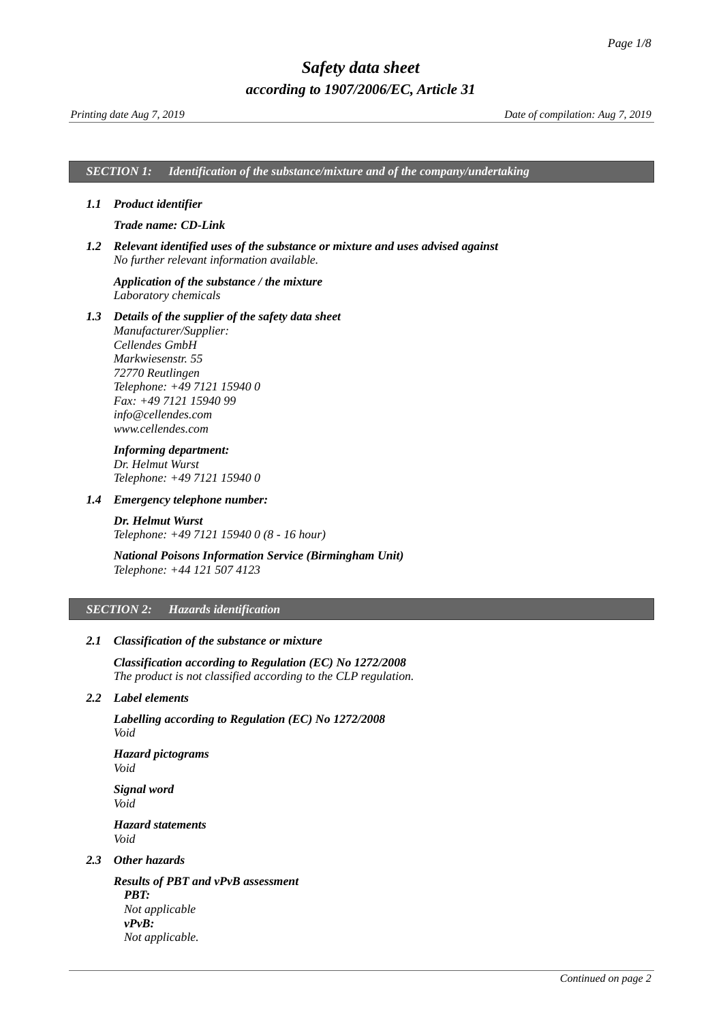*SECTION 1: Identification of the substance/mixture and of the company/undertaking*

### *1.1 Product identifier*

### <span id="page-0-0"></span>*Trade name: CD-Link*

*1.2 Relevant identified uses of the substance or mixture and uses advised against No further relevant information available.*

### *Application of the substance / the mixture Laboratory chemicals*

*1.3 Details of the supplier of the safety data sheet Manufacturer/Supplier: Cellendes GmbH Markwiesenstr. 55 72770 Reutlingen Telephone: +49 7121 15940 0 Fax: +49 7121 15940 99 info@cellendes.com www.cellendes.com*

### *Informing department:*

*Dr. Helmut Wurst Telephone: +49 7121 15940 0*

### *1.4 Emergency telephone number:*

*Dr. Helmut Wurst Telephone: +49 7121 15940 0 (8 - 16 hour)*

### *National Poisons Information Service (Birmingham Unit) Telephone: +44 121 507 4123*

### *SECTION 2: Hazards identification*

### *2.1 Classification of the substance or mixture*

*Classification according to Regulation (EC) No 1272/2008 The product is not classified according to the CLP regulation.*

### *2.2 Label elements*

*Labelling according to Regulation (EC) No 1272/2008 Void*

*Hazard pictograms Void*

*Signal word Void Hazard statements Void*

### *2.3 Other hazards*

*Results of PBT and vPvB assessment PBT: Not applicable vPvB: Not applicable.*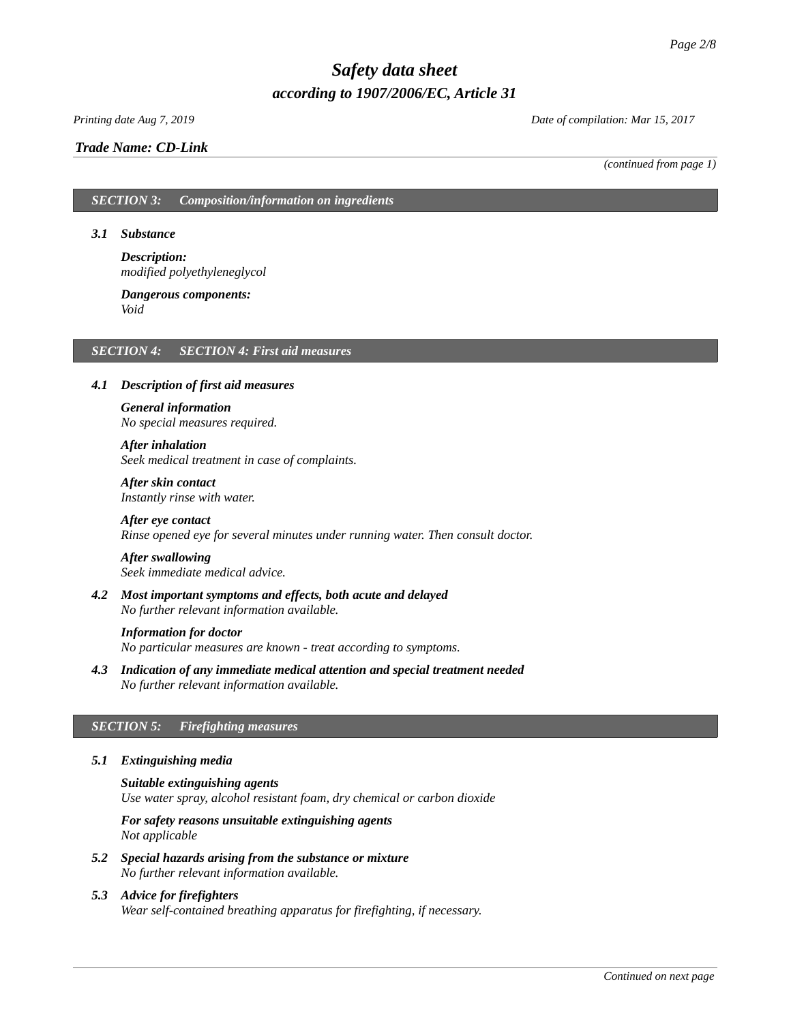### *Trade Name: [CD-Link](#page-0-0)*

*Printing date Aug 7, 2019 Date of compilation: Mar 15, 2017*

*(continued from page 1)*

### *SECTION 3: Composition/information on ingredients*

### *3.1 Substance*

*Description: modified polyethyleneglycol*

#### *Dangerous components: Void*

### *SECTION 4: SECTION 4: First aid measures*

### *4.1 Description of first aid measures*

### *General information No special measures required.*

### *After inhalation*

*Seek medical treatment in case of complaints.*

*After skin contact Instantly rinse with water.*

### *After eye contact Rinse opened eye for several minutes under running water. Then consult doctor.*

# *After swallowing*

*Seek immediate medical advice.*

*4.2 Most important symptoms and effects, both acute and delayed No further relevant information available.*

#### *Information for doctor*

*No particular measures are known - treat according to symptoms.*

*4.3 Indication of any immediate medical attention and special treatment needed No further relevant information available.*

### *SECTION 5: Firefighting measures*

### *5.1 Extinguishing media*

*Suitable extinguishing agents Use water spray, alcohol resistant foam, dry chemical or carbon dioxide*

*For safety reasons unsuitable extinguishing agents Not applicable*

- *5.2 Special hazards arising from the substance or mixture No further relevant information available.*
- *5.3 Advice for firefighters Wear self-contained breathing apparatus for firefighting, if necessary.*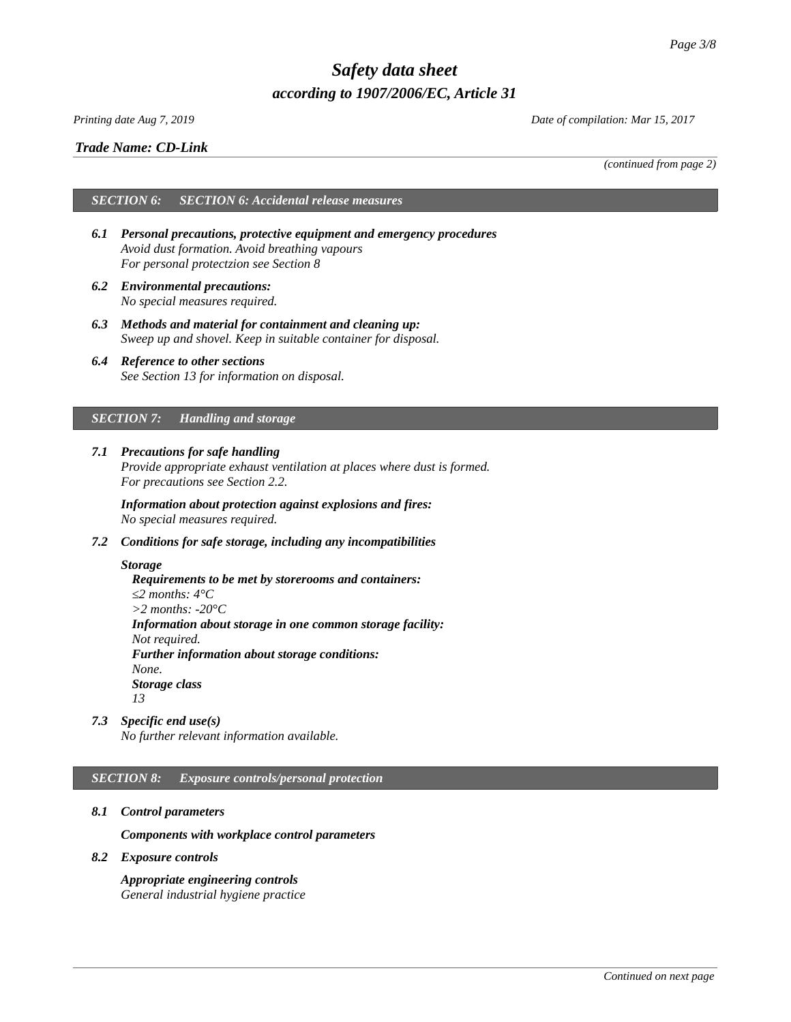### *Printing date Aug 7, 2019 Date of compilation: Mar 15, 2017*

### *Trade Name: [CD-Link](#page-0-0)*

*(continued from page 2)*

## *SECTION 6: SECTION 6: Accidental release measures*

- *6.1 Personal precautions, protective equipment and emergency procedures Avoid dust formation. Avoid breathing vapours For personal protectzion see Section 8*
- *6.2 Environmental precautions: No special measures required.*
- *6.3 Methods and material for containment and cleaning up: Sweep up and shovel. Keep in suitable container for disposal.*
- *6.4 Reference to other sections See Section 13 for information on disposal.*

### *SECTION 7: Handling and storage*

*7.1 Precautions for safe handling Provide appropriate exhaust ventilation at places where dust is formed. For precautions see Section 2.2.*

*Information about protection against explosions and fires: No special measures required.*

*7.2 Conditions for safe storage, including any incompatibilities*

### *Storage*

*Requirements to be met by storerooms and containers: ≤2 months: 4°C >2 months: -20°C Information about storage in one common storage facility: Not required. Further information about storage conditions: None. Storage class 13*

*7.3 Specific end use(s)*

*No further relevant information available.*

### *SECTION 8: Exposure controls/personal protection*

*8.1 Control parameters*

*Components with workplace control parameters*

*8.2 Exposure controls*

*Appropriate engineering controls General industrial hygiene practice*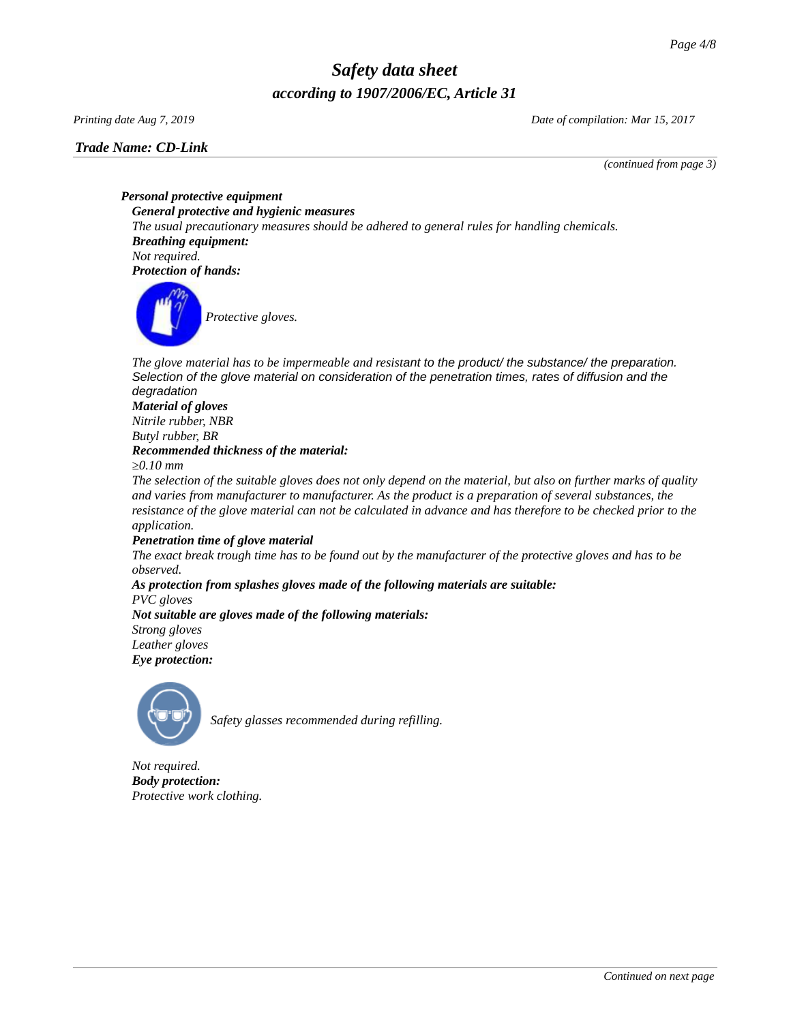### *Trade Name: [CD-Link](#page-0-0)*

*Printing date Aug 7, 2019 Date of compilation: Mar 15, 2017*

*(continued from page 3)*

*Personal protective equipment General protective and hygienic measures The usual precautionary measures should be adhered to general rules for handling chemicals. Breathing equipment: Not required. Protection of hands:*



The glove material has to be impermeable and resistant to the product/ the substance/ the preparation. *Selection of the glove material on consideration of the penetration times, rates of diffusion and the degradation*

### *Material of gloves Nitrile rubber, NBR Butyl rubber, BR Recommended thickness of the material:*

*≥0.10 mm*

*The selection of the suitable gloves does not only depend on the material, but also on further marks of quality and varies from manufacturer to manufacturer. As the product is a preparation of several substances, the resistance of the glove material can not be calculated in advance and has therefore to be checked prior to the application.*

### *Penetration time of glove material*

*The exact break trough time has to be found out by the manufacturer of the protective gloves and has to be observed.*

### *As protection from splashes gloves made of the following materials are suitable: PVC gloves Not suitable are gloves made of the following materials:*

*Strong gloves Leather gloves*

*Eye protection:*



*Safety glasses recommended during refilling.*

*Not required. Body protection: Protective work clothing.*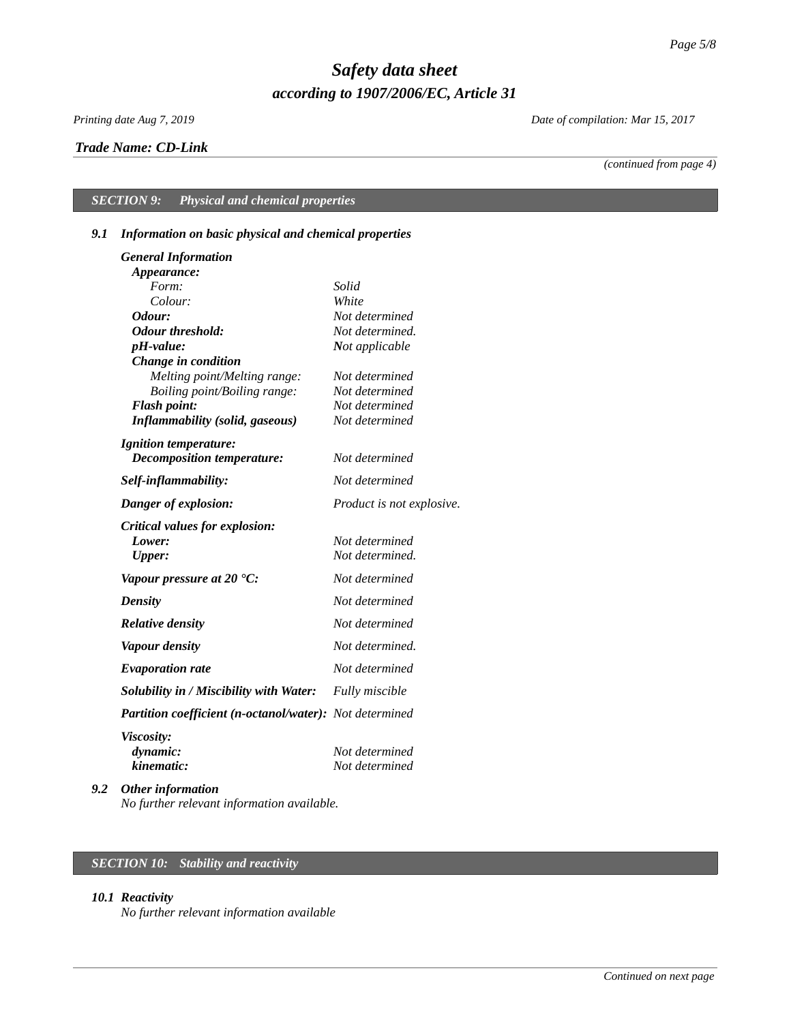### *Trade Name: [CD-Link](#page-0-0)*

*Printing date Aug 7, 2019 Date of compilation: Mar 15, 2017*

*(continued from page 4)*

# *SECTION 9: Physical and chemical properties*

## *9.1 Information on basic physical and chemical properties*

| <b>General Information</b>                              |                           |
|---------------------------------------------------------|---------------------------|
| Appearance:                                             |                           |
| Form:                                                   | Solid                     |
| Colour:                                                 | White                     |
| Odour:                                                  | Not determined            |
| <b>Odour threshold:</b>                                 | Not determined.           |
| pH-value:                                               | Not applicable            |
| Change in condition                                     |                           |
| Melting point/Melting range:                            | Not determined            |
| Boiling point/Boiling range:                            | Not determined            |
| <b>Flash point:</b>                                     | Not determined            |
| <b>Inflammability (solid, gaseous)</b>                  | Not determined            |
| <b>Ignition temperature:</b>                            |                           |
| Decomposition temperature:                              | Not determined            |
| Self-inflammability:                                    | Not determined            |
| Danger of explosion:                                    | Product is not explosive. |
| <b>Critical values for explosion:</b>                   |                           |
| Lower:                                                  | Not determined            |
| Upper:                                                  | Not determined.           |
| Vapour pressure at 20 $^{\circ}$ C:                     | Not determined            |
| <b>Density</b>                                          | Not determined            |
| <b>Relative density</b>                                 | Not determined            |
| <b>Vapour density</b>                                   | Not determined.           |
| <b>Evaporation rate</b>                                 | Not determined            |
| Solubility in / Miscibility with Water:                 | <b>Fully miscible</b>     |
| Partition coefficient (n-octanol/water): Not determined |                           |
| <b>Viscosity:</b>                                       |                           |
| dynamic:                                                | Not determined            |
| kinematic:                                              | Not determined            |
| $\mathbf{u}$ and $\mathbf{v}$ and $\mathbf{v}$          |                           |

*9.2 Other information No further relevant information available.*

## *SECTION 10: Stability and reactivity*

### *10.1 Reactivity*

*No further relevant information available*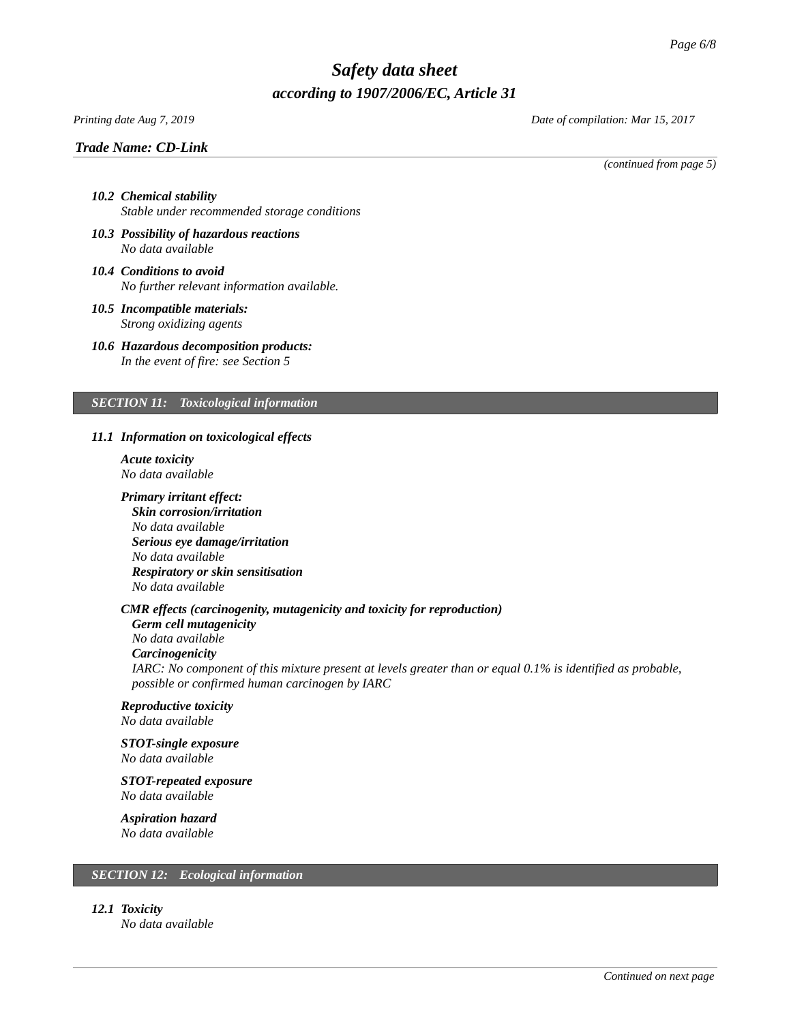### *Trade Name: [CD-Link](#page-0-0)*

*Printing date Aug 7, 2019 Date of compilation: Mar 15, 2017*

*(continued from page 5)*

- *10.2 Chemical stability Stable under recommended storage conditions*
- *10.3 Possibility of hazardous reactions No data available*
- *10.4 Conditions to avoid No further relevant information available.*
- *10.5 Incompatible materials: Strong oxidizing agents*
- *10.6 Hazardous decomposition products: In the event of fire: see Section 5*

### *SECTION 11: Toxicological information*

### *11.1 Information on toxicological effects*

- *Acute toxicity No data available*
- *Primary irritant effect: Skin corrosion/irritation No data available Serious eye damage/irritation No data available Respiratory or skin sensitisation No data available*

### *CMR effects (carcinogenity, mutagenicity and toxicity for reproduction)*

*Germ cell mutagenicity No data available Carcinogenicity IARC: No component of this mixture present at levels greater than or equal 0.1% is identified as probable, possible or confirmed human carcinogen by IARC*

# *Reproductive toxicity*

*No data available*

### *STOT-single exposure No data available*

*STOT-repeated exposure*

*No data available*

# *Aspiration hazard*

*No data available*

### *SECTION 12: Ecological information*

*12.1 Toxicity*

*No data available*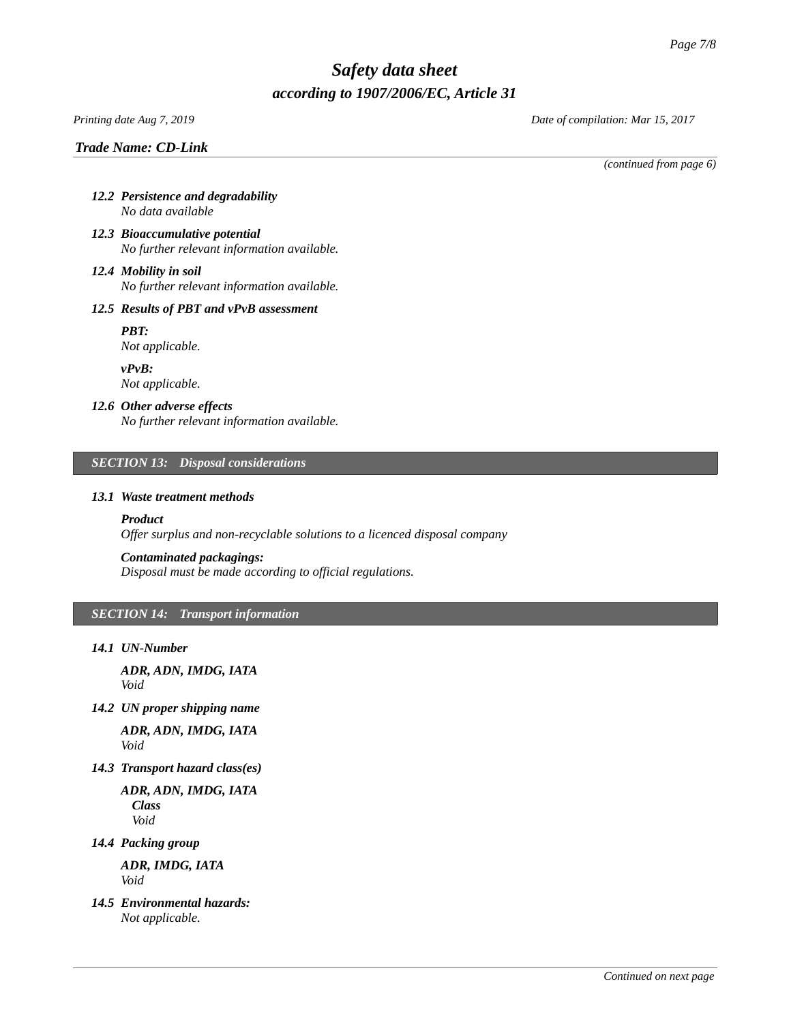### *Printing date Aug 7, 2019 Date of compilation: Mar 15, 2017*

### *Trade Name: [CD-Link](#page-0-0)*

*(continued from page 6)*

- *12.2 Persistence and degradability No data available*
- *12.3 Bioaccumulative potential No further relevant information available.*
- *12.4 Mobility in soil No further relevant information available.*

### *12.5 Results of PBT and vPvB assessment*

*PBT: Not applicable.*

*vPvB: Not applicable.*

### *12.6 Other adverse effects*

*No further relevant information available.*

### *SECTION 13: Disposal considerations*

#### *13.1 Waste treatment methods*

### *Product*

*Offer surplus and non-recyclable solutions to a licenced disposal company*

#### *Contaminated packagings:*

*Disposal must be made according to official regulations.*

### *SECTION 14: Transport information*

*14.1 UN-Number*

*ADR, ADN, IMDG, IATA Void*

*14.2 UN proper shipping name*

*ADR, ADN, IMDG, IATA Void*

*14.3 Transport hazard class(es)*

*ADR, ADN, IMDG, IATA Class Void*

*14.4 Packing group*

*ADR, IMDG, IATA Void*

*14.5 Environmental hazards: Not applicable.*